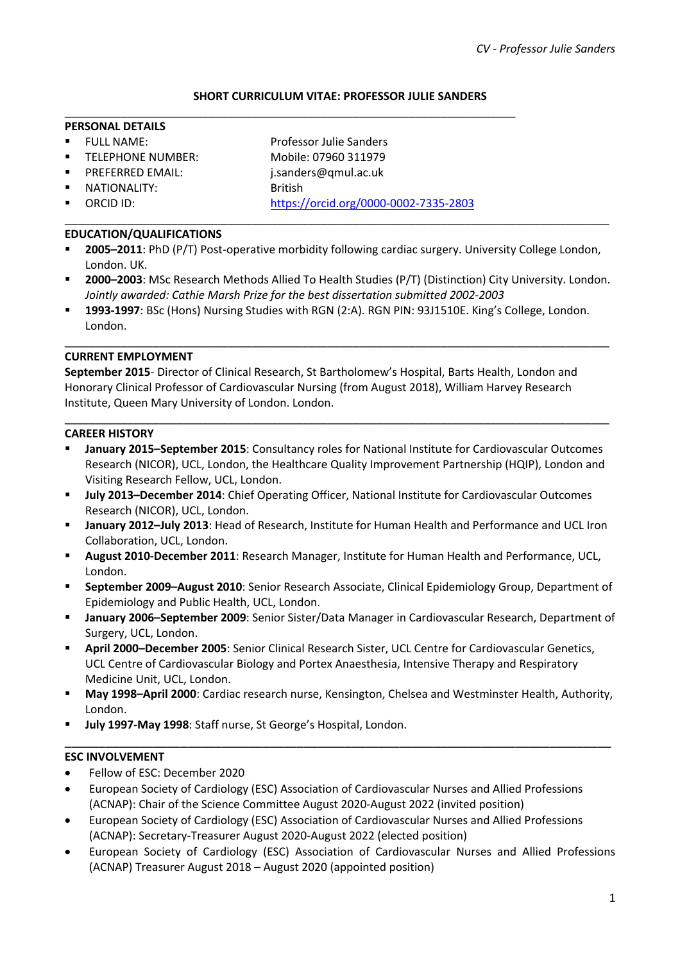# **SHORT CURRICULUM VITAE: PROFESSOR JULIE SANDERS**

\_\_\_\_\_\_\_\_\_\_\_\_\_\_\_\_\_\_\_\_\_\_\_\_\_\_\_\_\_\_\_\_\_\_\_\_\_\_\_\_\_\_\_\_\_\_\_\_\_\_\_\_\_\_\_\_\_\_\_\_\_\_\_\_\_\_\_\_\_\_\_\_

#### **PERSONAL DETAILS**

- 
- § TELEPHONE NUMBER: Mobile: 07960 311979
- PREFERRED EMAIL: j.sanders@qmul.ac.uk
- NATIONALITY: British
- 

§ FULL NAME: Professor Julie Sanders § ORCID ID: https://orcid.org/0000-0002-7335-2803

### **EDUCATION/QUALIFICATIONS**

§ **2005–2011**: PhD (P/T) Post-operative morbidity following cardiac surgery. University College London, London. UK.

\_\_\_\_\_\_\_\_\_\_\_\_\_\_\_\_\_\_\_\_\_\_\_\_\_\_\_\_\_\_\_\_\_\_\_\_\_\_\_\_\_\_\_\_\_\_\_\_\_\_\_\_\_\_\_\_\_\_\_\_\_\_\_\_\_\_\_\_\_\_\_\_\_\_\_\_\_\_\_\_\_\_\_\_\_\_\_

§ **2000–2003**: MSc Research Methods Allied To Health Studies (P/T) (Distinction) City University. London. *Jointly awarded: Cathie Marsh Prize for the best dissertation submitted 2002-2003*

\_\_\_\_\_\_\_\_\_\_\_\_\_\_\_\_\_\_\_\_\_\_\_\_\_\_\_\_\_\_\_\_\_\_\_\_\_\_\_\_\_\_\_\_\_\_\_\_\_\_\_\_\_\_\_\_\_\_\_\_\_\_\_\_\_\_\_\_\_\_\_\_\_\_\_\_\_\_\_\_\_\_\_\_\_\_\_

§ **1993-1997**: BSc (Hons) Nursing Studies with RGN (2:A). RGN PIN: 93J1510E. King's College, London. London.

#### **CURRENT EMPLOYMENT**

**September 2015**- Director of Clinical Research, St Bartholomew's Hospital, Barts Health, London and Honorary Clinical Professor of Cardiovascular Nursing (from August 2018), William Harvey Research Institute, Queen Mary University of London. London.

#### **CAREER HISTORY**

§ **January 2015–September 2015**: Consultancy roles for National Institute for Cardiovascular Outcomes Research (NICOR), UCL, London, the Healthcare Quality Improvement Partnership (HQIP), London and Visiting Research Fellow, UCL, London.

\_\_\_\_\_\_\_\_\_\_\_\_\_\_\_\_\_\_\_\_\_\_\_\_\_\_\_\_\_\_\_\_\_\_\_\_\_\_\_\_\_\_\_\_\_\_\_\_\_\_\_\_\_\_\_\_\_\_\_\_\_\_\_\_\_\_\_\_\_\_\_\_\_\_\_\_\_\_\_\_\_\_\_\_\_\_\_

- § **July 2013–December 2014**: Chief Operating Officer, National Institute for Cardiovascular Outcomes Research (NICOR), UCL, London.
- § **January 2012–July 2013**: Head of Research, Institute for Human Health and Performance and UCL Iron Collaboration, UCL, London.
- § **August 2010-December 2011**: Research Manager, Institute for Human Health and Performance, UCL, London.
- § **September 2009–August 2010**: Senior Research Associate, Clinical Epidemiology Group, Department of Epidemiology and Public Health, UCL, London.
- § **January 2006–September 2009**: Senior Sister/Data Manager in Cardiovascular Research, Department of Surgery, UCL, London.
- § **April 2000–December 2005**: Senior Clinical Research Sister, UCL Centre for Cardiovascular Genetics, UCL Centre of Cardiovascular Biology and Portex Anaesthesia, Intensive Therapy and Respiratory Medicine Unit, UCL, London.
- § **May 1998–April 2000**: Cardiac research nurse, Kensington, Chelsea and Westminster Health, Authority, London.

\_\_\_\_\_\_\_\_\_\_\_\_\_\_\_\_\_\_\_\_\_\_\_\_\_\_\_\_\_\_\_\_\_\_\_\_\_\_\_\_\_\_\_\_\_\_\_\_\_\_\_\_\_\_\_\_\_\_\_\_\_\_\_\_\_\_\_\_\_\_\_\_\_\_\_\_\_\_\_\_

§ **July 1997-May 1998**: Staff nurse, St George's Hospital, London.

#### **ESC INVOLVEMENT**

- Fellow of ESC: December 2020
- European Society of Cardiology (ESC) Association of Cardiovascular Nurses and Allied Professions (ACNAP): Chair of the Science Committee August 2020-August 2022 (invited position)
- European Society of Cardiology (ESC) Association of Cardiovascular Nurses and Allied Professions (ACNAP): Secretary-Treasurer August 2020-August 2022 (elected position)
- European Society of Cardiology (ESC) Association of Cardiovascular Nurses and Allied Professions (ACNAP) Treasurer August 2018 – August 2020 (appointed position)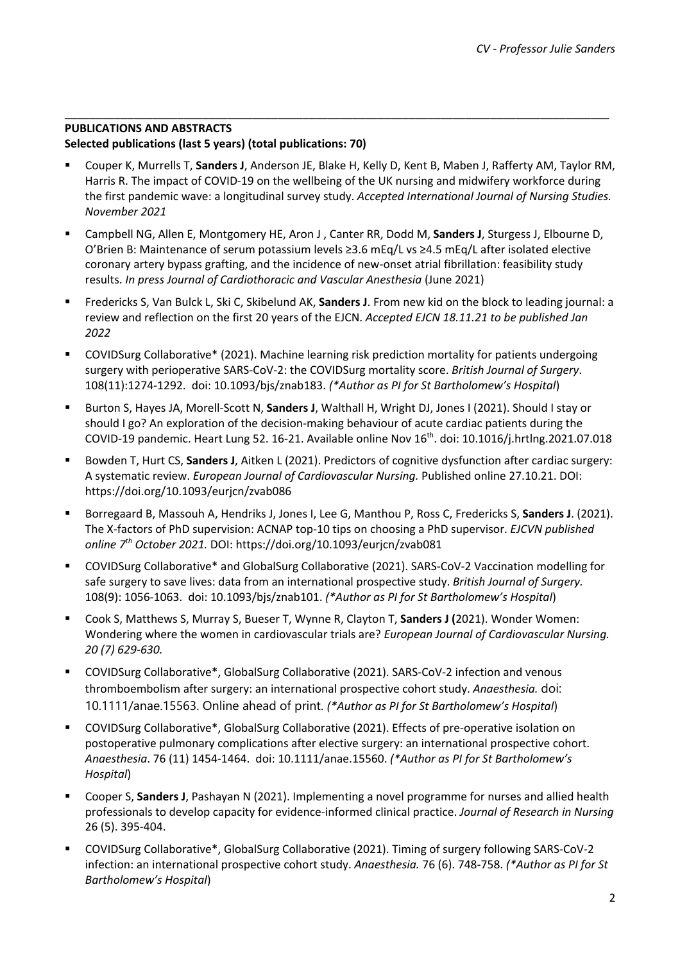# **PUBLICATIONS AND ABSTRACTS Selected publications (last 5 years) (total publications: 70)**

§ Couper K, Murrells T, **Sanders J**, Anderson JE, Blake H, Kelly D, Kent B, Maben J, Rafferty AM, Taylor RM, Harris R. The impact of COVID-19 on the wellbeing of the UK nursing and midwifery workforce during the first pandemic wave: a longitudinal survey study. *Accepted International Journal of Nursing Studies. November 2021*

\_\_\_\_\_\_\_\_\_\_\_\_\_\_\_\_\_\_\_\_\_\_\_\_\_\_\_\_\_\_\_\_\_\_\_\_\_\_\_\_\_\_\_\_\_\_\_\_\_\_\_\_\_\_\_\_\_\_\_\_\_\_\_\_\_\_\_\_\_\_\_\_\_\_\_\_\_\_\_\_\_\_\_\_\_\_\_

- § Campbell NG, Allen E, Montgomery HE, Aron J , Canter RR, Dodd M, **Sanders J**, Sturgess J, Elbourne D, O'Brien B: Maintenance of serum potassium levels ≥3.6 mEq/L vs ≥4.5 mEq/L after isolated elective coronary artery bypass grafting, and the incidence of new-onset atrial fibrillation: feasibility study results. *In press Journal of Cardiothoracic and Vascular Anesthesia* (June 2021)
- Fredericks S, Van Bulck L, Ski C, Skibelund AK, **Sanders J**. From new kid on the block to leading journal: a review and reflection on the first 20 years of the EJCN. *Accepted EJCN 18.11.21 to be published Jan 2022*
- § COVIDSurg Collaborative\* (2021). Machine learning risk prediction mortality for patients undergoing surgery with perioperative SARS-CoV-2: the COVIDSurg mortality score. *British Journal of Surgery*. 108(11):1274-1292. doi: 10.1093/bjs/znab183. *(\*Author as PI for St Bartholomew's Hospital*)
- § Burton S, Hayes JA, Morell-Scott N, **Sanders J**, Walthall H, Wright DJ, Jones I (2021). Should I stay or should I go? An exploration of the decision-making behaviour of acute cardiac patients during the COVID-19 pandemic. Heart Lung 52. 16-21. Available online Nov 16<sup>th</sup>. doi: 10.1016/j.hrtlng.2021.07.018
- § Bowden T, Hurt CS, **Sanders J**, Aitken L (2021). Predictors of cognitive dysfunction after cardiac surgery: A systematic review. *European Journal of Cardiovascular Nursing.* Published online 27.10.21. DOI: https://doi.org/10.1093/eurjcn/zvab086
- § Borregaard B, Massouh A, Hendriks J, Jones I, Lee G, Manthou P, Ross C, Fredericks S, **Sanders J**. (2021). The X-factors of PhD supervision: ACNAP top-10 tips on choosing a PhD supervisor. *EJCVN published online 7th October 2021.* DOI: https://doi.org/10.1093/eurjcn/zvab081
- COVIDSurg Collaborative\* and GlobalSurg Collaborative (2021). SARS-CoV-2 Vaccination modelling for safe surgery to save lives: data from an international prospective study. *British Journal of Surgery.* 108(9): 1056-1063. doi: 10.1093/bjs/znab101. *(\*Author as PI for St Bartholomew's Hospital*)
- Cook S, Matthews S, Murray S, Bueser T, Wynne R, Clayton T, Sanders J (2021). Wonder Women: Wondering where the women in cardiovascular trials are? *European Journal of Cardiovascular Nursing. 20 (7) 629-630.*
- § COVIDSurg Collaborative\*, GlobalSurg Collaborative (2021). SARS-CoV-2 infection and venous thromboembolism after surgery: an international prospective cohort study. *Anaesthesia.* doi: 10.1111/anae.15563. Online ahead of print. *(\*Author as PI for St Bartholomew's Hospital*)
- § COVIDSurg Collaborative\*, GlobalSurg Collaborative (2021). Effects of pre-operative isolation on postoperative pulmonary complications after elective surgery: an international prospective cohort. *Anaesthesia*. 76 (11) 1454-1464. doi: 10.1111/anae.15560. *(\*Author as PI for St Bartholomew's Hospital*)
- § Cooper S, **Sanders J**, Pashayan N (2021). Implementing a novel programme for nurses and allied health professionals to develop capacity for evidence-informed clinical practice. *Journal of Research in Nursing*  26 (5). 395-404.
- § COVIDSurg Collaborative\*, GlobalSurg Collaborative (2021). Timing of surgery following SARS-CoV-2 infection: an international prospective cohort study. *Anaesthesia.* 76 (6). 748-758. *(\*Author as PI for St Bartholomew's Hospital*)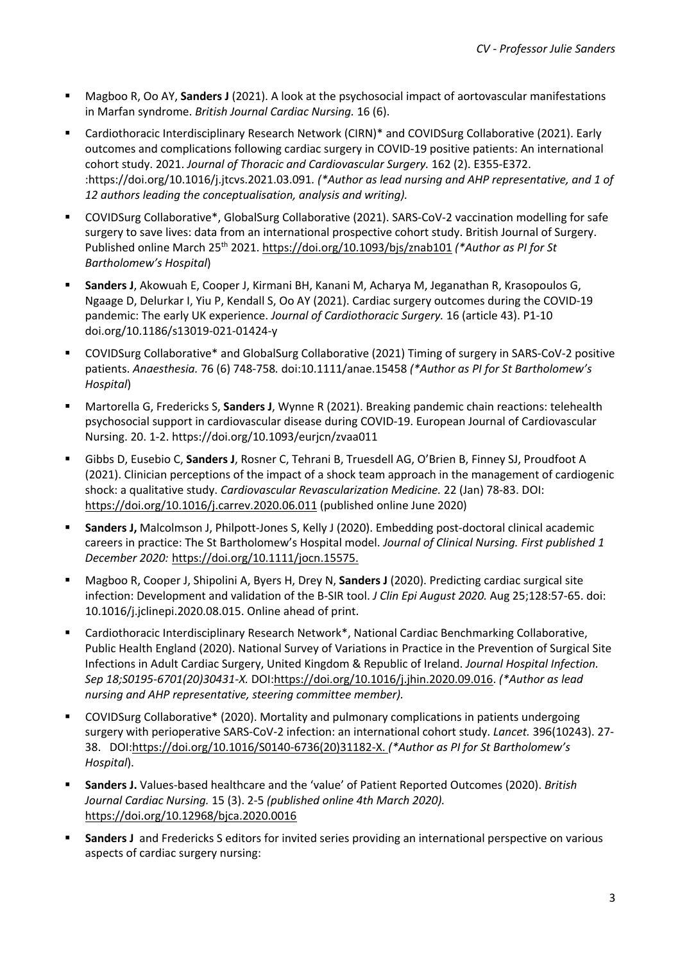- § Magboo R, Oo AY, **Sanders J** (2021). A look at the psychosocial impact of aortovascular manifestations in Marfan syndrome. *British Journal Cardiac Nursing.* 16 (6).
- § Cardiothoracic Interdisciplinary Research Network (CIRN)\* and COVIDSurg Collaborative (2021). Early outcomes and complications following cardiac surgery in COVID-19 positive patients: An international cohort study. 2021. *Journal of Thoracic and Cardiovascular Surgery.* 162 (2). E355-E372. :https://doi.org/10.1016/j.jtcvs.2021.03.091*. (\*Author as lead nursing and AHP representative, and 1 of 12 authors leading the conceptualisation, analysis and writing).*
- COVIDSurg Collaborative\*, GlobalSurg Collaborative (2021). SARS-CoV-2 vaccination modelling for safe surgery to save lives: data from an international prospective cohort study. British Journal of Surgery. Published online March 25th 2021. https://doi.org/10.1093/bjs/znab101 *(\*Author as PI for St Bartholomew's Hospital*)
- § **Sanders J**, Akowuah E, Cooper J, Kirmani BH, Kanani M, Acharya M, Jeganathan R, Krasopoulos G, Ngaage D, Delurkar I, Yiu P, Kendall S, Oo AY (2021). Cardiac surgery outcomes during the COVID-19 pandemic: The early UK experience. *Journal of Cardiothoracic Surgery.* 16 (article 43). P1-10 doi.org/10.1186/s13019-021-01424-y
- § COVIDSurg Collaborative\* and GlobalSurg Collaborative (2021) Timing of surgery in SARS-CoV-2 positive patients. *Anaesthesia.* 76 (6) 748-758*.* doi:10.1111/anae.15458 *(\*Author as PI for St Bartholomew's Hospital*)
- § Martorella G, Fredericks S, **Sanders J**, Wynne R (2021). Breaking pandemic chain reactions: telehealth psychosocial support in cardiovascular disease during COVID-19. European Journal of Cardiovascular Nursing. 20. 1-2. https://doi.org/10.1093/eurjcn/zvaa011
- § Gibbs D, Eusebio C, **Sanders J**, Rosner C, Tehrani B, Truesdell AG, O'Brien B, Finney SJ, Proudfoot A (2021). Clinician perceptions of the impact of a shock team approach in the management of cardiogenic shock: a qualitative study. *Cardiovascular Revascularization Medicine.* 22 (Jan) 78-83. DOI: https://doi.org/10.1016/j.carrev.2020.06.011 (published online June 2020)
- § **Sanders J,** Malcolmson J, Philpott-Jones S, Kelly J (2020). Embedding post-doctoral clinical academic careers in practice: The St Bartholomew's Hospital model. *Journal of Clinical Nursing. First published 1 December 2020:* https://doi.org/10.1111/jocn.15575.
- Magboo R, Cooper J, Shipolini A, Byers H, Drey N, **Sanders J** (2020). Predicting cardiac surgical site infection: Development and validation of the B-SIR tool. *J Clin Epi August 2020.* Aug 25;128:57-65. doi: 10.1016/j.jclinepi.2020.08.015. Online ahead of print.
- Cardiothoracic Interdisciplinary Research Network\*, National Cardiac Benchmarking Collaborative, Public Health England (2020). National Survey of Variations in Practice in the Prevention of Surgical Site Infections in Adult Cardiac Surgery, United Kingdom & Republic of Ireland. *Journal Hospital Infection. Sep 18;S0195-6701(20)30431-X.* DOI:https://doi.org/10.1016/j.jhin.2020.09.016. *(\*Author as lead nursing and AHP representative, steering committee member).*
- § COVIDSurg Collaborative\* (2020). Mortality and pulmonary complications in patients undergoing surgery with perioperative SARS-CoV-2 infection: an international cohort study. *Lancet.* 396(10243). 27- 38.DOI:https://doi.org/10.1016/S0140-6736(20)31182-X. *(\*Author as PI for St Bartholomew's Hospital*).
- § **Sanders J.** Values-based healthcare and the 'value' of Patient Reported Outcomes (2020). *British Journal Cardiac Nursing.* 15 (3). 2-5 *(published online 4th March 2020).*  https://doi.org/10.12968/bjca.2020.0016
- § **Sanders J** and Fredericks S editors for invited series providing an international perspective on various aspects of cardiac surgery nursing: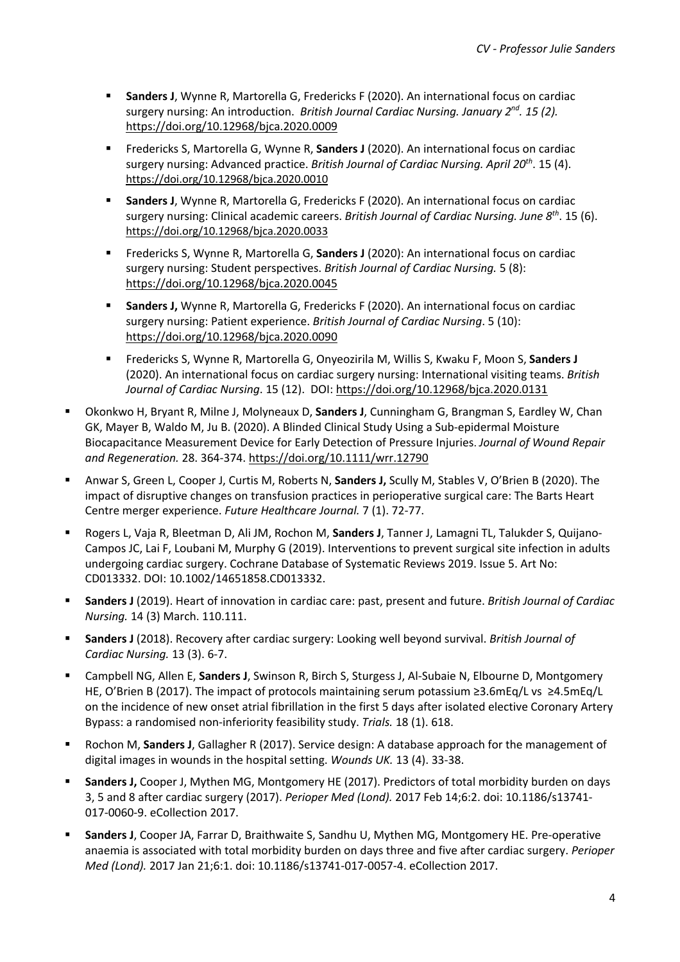- § **Sanders J**, Wynne R, Martorella G, Fredericks F (2020). An international focus on cardiac surgery nursing: An introduction. *British Journal Cardiac Nursing. January 2nd. 15 (2).* https://doi.org/10.12968/bjca.2020.0009
- Fredericks S, Martorella G, Wynne R, Sanders J (2020). An international focus on cardiac surgery nursing: Advanced practice. *British Journal of Cardiac Nursing. April 20th*. 15 (4). https://doi.org/10.12968/bjca.2020.0010
- § **Sanders J**, Wynne R, Martorella G, Fredericks F (2020). An international focus on cardiac surgery nursing: Clinical academic careers. *British Journal of Cardiac Nursing. June 8th*. 15 (6). https://doi.org/10.12968/bjca.2020.0033
- Fredericks S, Wynne R, Martorella G, **Sanders J** (2020): An international focus on cardiac surgery nursing: Student perspectives. *British Journal of Cardiac Nursing.* 5 (8): https://doi.org/10.12968/bjca.2020.0045
- § **Sanders J,** Wynne R, Martorella G, Fredericks F (2020). An international focus on cardiac surgery nursing: Patient experience. *British Journal of Cardiac Nursing*. 5 (10): https://doi.org/10.12968/bjca.2020.0090
- § Fredericks S, Wynne R, Martorella G, Onyeozirila M, Willis S, Kwaku F, Moon S, **Sanders J**  (2020). An international focus on cardiac surgery nursing: International visiting teams. *British Journal of Cardiac Nursing*. 15 (12). DOI: https://doi.org/10.12968/bjca.2020.0131
- Okonkwo H, Bryant R, Milne J, Molyneaux D, Sanders J, Cunningham G, Brangman S, Eardley W, Chan GK, Mayer B, Waldo M, Ju B. (2020). A Blinded Clinical Study Using a Sub-epidermal Moisture Biocapacitance Measurement Device for Early Detection of Pressure Injuries. *Journal of Wound Repair and Regeneration.* 28. 364-374. https://doi.org/10.1111/wrr.12790
- § Anwar S, Green L, Cooper J, Curtis M, Roberts N, **Sanders J,** Scully M, Stables V, O'Brien B (2020). The impact of disruptive changes on transfusion practices in perioperative surgical care: The Barts Heart Centre merger experience. *Future Healthcare Journal.* 7 (1). 72-77.
- § Rogers L, Vaja R, Bleetman D, Ali JM, Rochon M, **Sanders J**, Tanner J, Lamagni TL, Talukder S, Quijano-Campos JC, Lai F, Loubani M, Murphy G (2019). Interventions to prevent surgical site infection in adults undergoing cardiac surgery. Cochrane Database of Systematic Reviews 2019. Issue 5. Art No: CD013332. DOI: 10.1002/14651858.CD013332.
- § **Sanders J** (2019). Heart of innovation in cardiac care: past, present and future. *British Journal of Cardiac Nursing.* 14 (3) March. 110.111.
- § **Sanders J** (2018). Recovery after cardiac surgery: Looking well beyond survival. *British Journal of Cardiac Nursing.* 13 (3). 6-7.
- § Campbell NG, Allen E, **Sanders J**, Swinson R, Birch S, Sturgess J, Al-Subaie N, Elbourne D, Montgomery HE, O'Brien B (2017). The impact of protocols maintaining serum potassium ≥3.6mEq/L vs ≥4.5mEq/L on the incidence of new onset atrial fibrillation in the first 5 days after isolated elective Coronary Artery Bypass: a randomised non-inferiority feasibility study. *Trials.* 18 (1). 618.
- § Rochon M, **Sanders J**, Gallagher R (2017). Service design: A database approach for the management of digital images in wounds in the hospital setting. *Wounds UK.* 13 (4). 33-38.
- § **Sanders J,** Cooper J, Mythen MG, Montgomery HE (2017). Predictors of total morbidity burden on days 3, 5 and 8 after cardiac surgery (2017). *Perioper Med (Lond).* 2017 Feb 14;6:2. doi: 10.1186/s13741- 017-0060-9. eCollection 2017.
- § **Sanders J**, Cooper JA, Farrar D, Braithwaite S, Sandhu U, Mythen MG, Montgomery HE. Pre-operative anaemia is associated with total morbidity burden on days three and five after cardiac surgery. *Perioper Med (Lond).* 2017 Jan 21;6:1. doi: 10.1186/s13741-017-0057-4. eCollection 2017.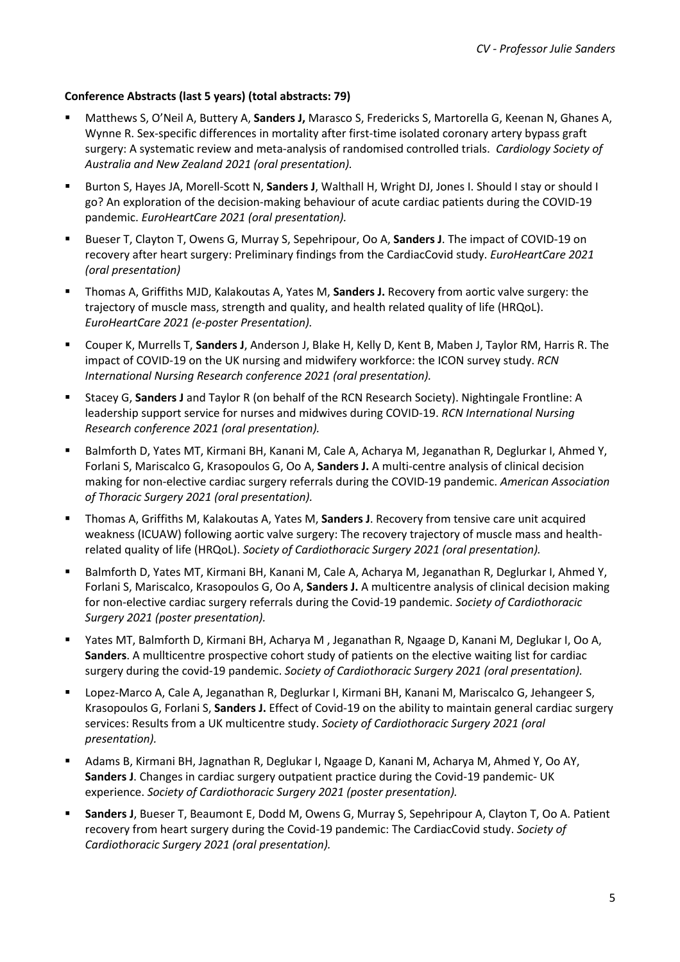### **Conference Abstracts (last 5 years) (total abstracts: 79)**

- § Matthews S, O'Neil A, Buttery A, **Sanders J,** Marasco S, Fredericks S, Martorella G, Keenan N, Ghanes A, Wynne R. Sex-specific differences in mortality after first-time isolated coronary artery bypass graft surgery: A systematic review and meta-analysis of randomised controlled trials. *Cardiology Society of Australia and New Zealand 2021 (oral presentation).*
- § Burton S, Hayes JA, Morell-Scott N, **Sanders J**, Walthall H, Wright DJ, Jones I. Should I stay or should I go? An exploration of the decision-making behaviour of acute cardiac patients during the COVID-19 pandemic. *EuroHeartCare 2021 (oral presentation).*
- § Bueser T, Clayton T, Owens G, Murray S, Sepehripour, Oo A, **Sanders J**. The impact of COVID-19 on recovery after heart surgery: Preliminary findings from the CardiacCovid study. *EuroHeartCare 2021 (oral presentation)*
- Thomas A, Griffiths MJD, Kalakoutas A, Yates M, Sanders J. Recovery from aortic valve surgery: the trajectory of muscle mass, strength and quality, and health related quality of life (HRQoL). *EuroHeartCare 2021 (e-poster Presentation).*
- § Couper K, Murrells T, **Sanders J**, Anderson J, Blake H, Kelly D, Kent B, Maben J, Taylor RM, Harris R. The impact of COVID-19 on the UK nursing and midwifery workforce: the ICON survey study. *RCN International Nursing Research conference 2021 (oral presentation).*
- § Stacey G, **Sanders J** and Taylor R (on behalf of the RCN Research Society). Nightingale Frontline: A leadership support service for nurses and midwives during COVID-19. *RCN International Nursing Research conference 2021 (oral presentation).*
- Balmforth D, Yates MT, Kirmani BH, Kanani M, Cale A, Acharya M, Jeganathan R, Deglurkar I, Ahmed Y, Forlani S, Mariscalco G, Krasopoulos G, Oo A, **Sanders J.** A multi-centre analysis of clinical decision making for non-elective cardiac surgery referrals during the COVID-19 pandemic. *American Association of Thoracic Surgery 2021 (oral presentation).*
- Thomas A, Griffiths M, Kalakoutas A, Yates M, **Sanders J**. Recovery from tensive care unit acquired weakness (ICUAW) following aortic valve surgery: The recovery trajectory of muscle mass and healthrelated quality of life (HRQoL). *Society of Cardiothoracic Surgery 2021 (oral presentation).*
- Balmforth D, Yates MT, Kirmani BH, Kanani M, Cale A, Acharya M, Jeganathan R, Deglurkar I, Ahmed Y, Forlani S, Mariscalco, Krasopoulos G, Oo A, **Sanders J.** A multicentre analysis of clinical decision making for non-elective cardiac surgery referrals during the Covid-19 pandemic. *Society of Cardiothoracic Surgery 2021 (poster presentation).*
- § Yates MT, Balmforth D, Kirmani BH, Acharya M , Jeganathan R, Ngaage D, Kanani M, Deglukar I, Oo A, **Sanders**. A mullticentre prospective cohort study of patients on the elective waiting list for cardiac surgery during the covid-19 pandemic. *Society of Cardiothoracic Surgery 2021 (oral presentation).*
- Lopez-Marco A, Cale A, Jeganathan R, Deglurkar I, Kirmani BH, Kanani M, Mariscalco G, Jehangeer S, Krasopoulos G, Forlani S, **Sanders J.** Effect of Covid-19 on the ability to maintain general cardiac surgery services: Results from a UK multicentre study. *Society of Cardiothoracic Surgery 2021 (oral presentation).*
- § Adams B, Kirmani BH, Jagnathan R, Deglukar I, Ngaage D, Kanani M, Acharya M, Ahmed Y, Oo AY, **Sanders J**. Changes in cardiac surgery outpatient practice during the Covid-19 pandemic- UK experience. *Society of Cardiothoracic Surgery 2021 (poster presentation).*
- § **Sanders J**, Bueser T, Beaumont E, Dodd M, Owens G, Murray S, Sepehripour A, Clayton T, Oo A. Patient recovery from heart surgery during the Covid-19 pandemic: The CardiacCovid study. *Society of Cardiothoracic Surgery 2021 (oral presentation).*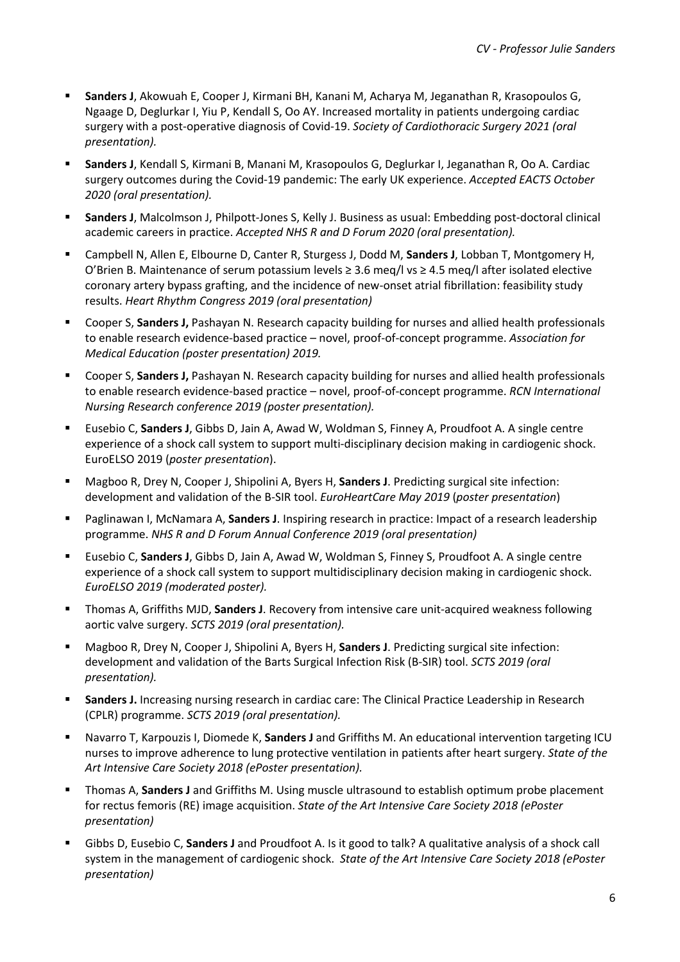- § **Sanders J**, Akowuah E, Cooper J, Kirmani BH, Kanani M, Acharya M, Jeganathan R, Krasopoulos G, Ngaage D, Deglurkar I, Yiu P, Kendall S, Oo AY. Increased mortality in patients undergoing cardiac surgery with a post-operative diagnosis of Covid-19. *Society of Cardiothoracic Surgery 2021 (oral presentation).*
- § **Sanders J**, Kendall S, Kirmani B, Manani M, Krasopoulos G, Deglurkar I, Jeganathan R, Oo A. Cardiac surgery outcomes during the Covid-19 pandemic: The early UK experience. *Accepted EACTS October 2020 (oral presentation).*
- § **Sanders J**, Malcolmson J, Philpott-Jones S, Kelly J. Business as usual: Embedding post-doctoral clinical academic careers in practice. *Accepted NHS R and D Forum 2020 (oral presentation).*
- § Campbell N, Allen E, Elbourne D, Canter R, Sturgess J, Dodd M, **Sanders J**, Lobban T, Montgomery H, O'Brien B. Maintenance of serum potassium levels ≥ 3.6 meq/l vs ≥ 4.5 meq/l after isolated elective coronary artery bypass grafting, and the incidence of new-onset atrial fibrillation: feasibility study results. *Heart Rhythm Congress 2019 (oral presentation)*
- Cooper S, **Sanders J,** Pashayan N. Research capacity building for nurses and allied health professionals to enable research evidence-based practice – novel, proof-of-concept programme. *Association for Medical Education (poster presentation) 2019.*
- § Cooper S, **Sanders J,** Pashayan N. Research capacity building for nurses and allied health professionals to enable research evidence-based practice – novel, proof-of-concept programme. *RCN International Nursing Research conference 2019 (poster presentation).*
- Eusebio C, **Sanders J**, Gibbs D, Jain A, Awad W, Woldman S, Finney A, Proudfoot A. A single centre experience of a shock call system to support multi-disciplinary decision making in cardiogenic shock. EuroELSO 2019 (*poster presentation*).
- § Magboo R, Drey N, Cooper J, Shipolini A, Byers H, **Sanders J**. Predicting surgical site infection: development and validation of the B-SIR tool. *EuroHeartCare May 2019* (*poster presentation*)
- § Paglinawan I, McNamara A, **Sanders J**. Inspiring research in practice: Impact of a research leadership programme. *NHS R and D Forum Annual Conference 2019 (oral presentation)*
- Eusebio C, **Sanders J**, Gibbs D, Jain A, Awad W, Woldman S, Finney S, Proudfoot A. A single centre experience of a shock call system to support multidisciplinary decision making in cardiogenic shock. *EuroELSO 2019 (moderated poster).*
- § Thomas A, Griffiths MJD, **Sanders J**. Recovery from intensive care unit-acquired weakness following aortic valve surgery. *SCTS 2019 (oral presentation).*
- § Magboo R, Drey N, Cooper J, Shipolini A, Byers H, **Sanders J**. Predicting surgical site infection: development and validation of the Barts Surgical Infection Risk (B-SIR) tool. *SCTS 2019 (oral presentation).*
- **Sanders J.** Increasing nursing research in cardiac care: The Clinical Practice Leadership in Research (CPLR) programme. *SCTS 2019 (oral presentation).*
- § Navarro T, Karpouzis I, Diomede K, **Sanders J** and Griffiths M. An educational intervention targeting ICU nurses to improve adherence to lung protective ventilation in patients after heart surgery. *State of the Art Intensive Care Society 2018 (ePoster presentation).*
- **Thomas A, Sanders J** and Griffiths M. Using muscle ultrasound to establish optimum probe placement for rectus femoris (RE) image acquisition. *State of the Art Intensive Care Society 2018 (ePoster presentation)*
- § Gibbs D, Eusebio C, **Sanders J** and Proudfoot A. Is it good to talk? A qualitative analysis of a shock call system in the management of cardiogenic shock. *State of the Art Intensive Care Society 2018 (ePoster presentation)*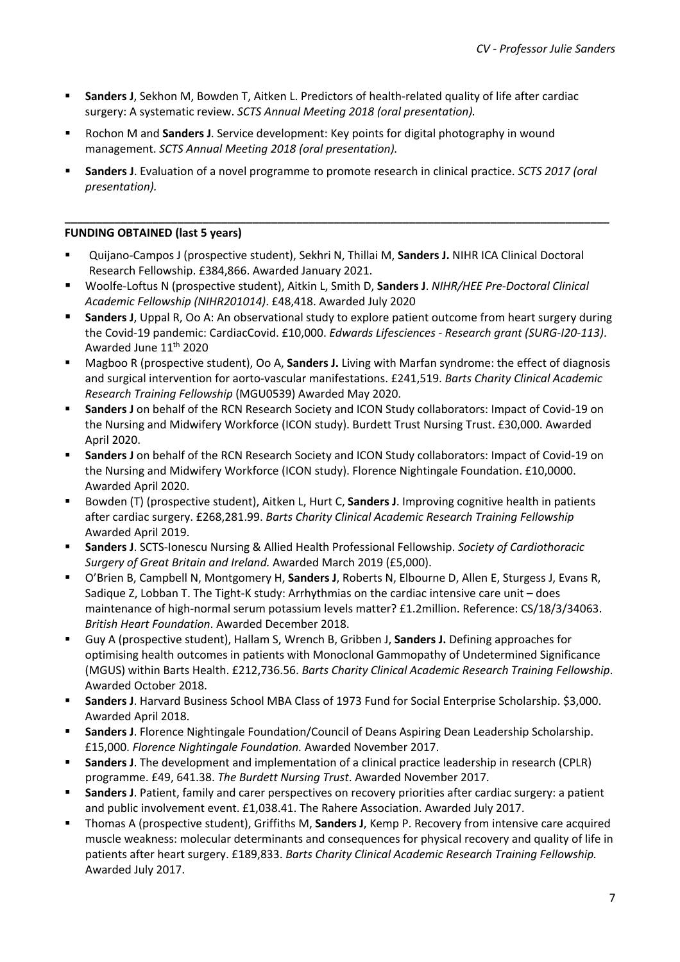- § **Sanders J**, Sekhon M, Bowden T, Aitken L. Predictors of health-related quality of life after cardiac surgery: A systematic review. *SCTS Annual Meeting 2018 (oral presentation).*
- § Rochon M and **Sanders J**. Service development: Key points for digital photography in wound management. *SCTS Annual Meeting 2018 (oral presentation).*
- § **Sanders J**. Evaluation of a novel programme to promote research in clinical practice. *SCTS 2017 (oral presentation).*

**\_\_\_\_\_\_\_\_\_\_\_\_\_\_\_\_\_\_\_\_\_\_\_\_\_\_\_\_\_\_\_\_\_\_\_\_\_\_\_\_\_\_\_\_\_\_\_\_\_\_\_\_\_\_\_\_\_\_\_\_\_\_\_\_\_\_\_\_\_\_\_\_\_\_\_\_\_\_\_\_\_\_\_\_\_\_\_**

# **FUNDING OBTAINED (last 5 years)**

- § Quijano-Campos J (prospective student), Sekhri N, Thillai M, **Sanders J.** NIHR ICA Clinical Doctoral Research Fellowship. £384,866. Awarded January 2021.
- § Woolfe-Loftus N (prospective student), Aitkin L, Smith D, **Sanders J**. *NIHR/HEE Pre-Doctoral Clinical Academic Fellowship (NIHR201014)*. £48,418. Awarded July 2020
- **Sanders J**, Uppal R, Oo A: An observational study to explore patient outcome from heart surgery during the Covid-19 pandemic: CardiacCovid. £10,000. *Edwards Lifesciences - Research grant (SURG-I20-113)*. Awarded June 11<sup>th</sup> 2020
- Magboo R (prospective student), Oo A, **Sanders J.** Living with Marfan syndrome: the effect of diagnosis and surgical intervention for aorto-vascular manifestations. £241,519. *Barts Charity Clinical Academic Research Training Fellowship* (MGU0539) Awarded May 2020.
- § **Sanders J** on behalf of the RCN Research Society and ICON Study collaborators: Impact of Covid-19 on the Nursing and Midwifery Workforce (ICON study). Burdett Trust Nursing Trust. £30,000. Awarded April 2020.
- **Sanders J** on behalf of the RCN Research Society and ICON Study collaborators: Impact of Covid-19 on the Nursing and Midwifery Workforce (ICON study). Florence Nightingale Foundation. £10,0000. Awarded April 2020.
- Bowden (T) (prospective student), Aitken L, Hurt C, **Sanders J**. Improving cognitive health in patients after cardiac surgery. £268,281.99. *Barts Charity Clinical Academic Research Training Fellowship* Awarded April 2019.
- § **Sanders J**. SCTS-Ionescu Nursing & Allied Health Professional Fellowship. *Society of Cardiothoracic Surgery of Great Britain and Ireland.* Awarded March 2019 (£5,000).
- § O'Brien B, Campbell N, Montgomery H, **Sanders J**, Roberts N, Elbourne D, Allen E, Sturgess J, Evans R, Sadique Z, Lobban T. The Tight-K study: Arrhythmias on the cardiac intensive care unit – does maintenance of high-normal serum potassium levels matter? £1.2million. Reference: CS/18/3/34063. *British Heart Foundation*. Awarded December 2018.
- § Guy A (prospective student), Hallam S, Wrench B, Gribben J, **Sanders J.** Defining approaches for optimising health outcomes in patients with Monoclonal Gammopathy of Undetermined Significance (MGUS) within Barts Health. £212,736.56. *Barts Charity Clinical Academic Research Training Fellowship*. Awarded October 2018.
- § **Sanders J**. Harvard Business School MBA Class of 1973 Fund for Social Enterprise Scholarship. \$3,000. Awarded April 2018.
- § **Sanders J**. Florence Nightingale Foundation/Council of Deans Aspiring Dean Leadership Scholarship. £15,000. *Florence Nightingale Foundation.* Awarded November 2017.
- § **Sanders J**. The development and implementation of a clinical practice leadership in research (CPLR) programme. £49, 641.38. *The Burdett Nursing Trust*. Awarded November 2017.
- § **Sanders J**. Patient, family and carer perspectives on recovery priorities after cardiac surgery: a patient and public involvement event. £1,038.41. The Rahere Association. Awarded July 2017.
- § Thomas A (prospective student), Griffiths M, **Sanders J**, Kemp P. Recovery from intensive care acquired muscle weakness: molecular determinants and consequences for physical recovery and quality of life in patients after heart surgery. £189,833. *Barts Charity Clinical Academic Research Training Fellowship.*  Awarded July 2017.